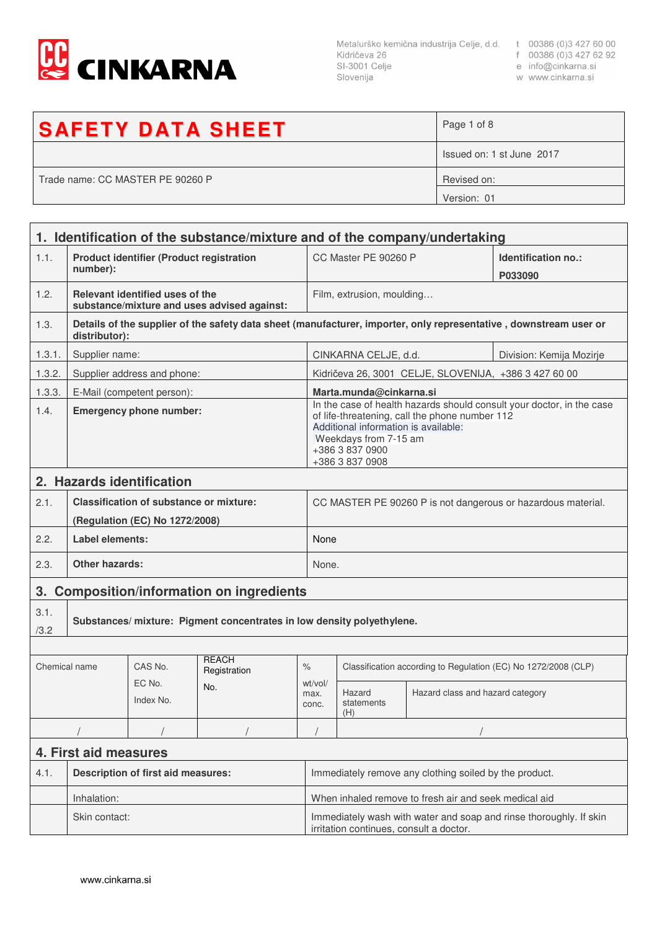

Metalurško kemična industrija Celje, d.d. t 00386 (0)3 427 60 00<br>Kidričeva 26 f 00386 (0)3 427 62 92<br>SI-3001 Celje e info@cinkarna.si<br>Slovenija w www.cinkarna.si Slovenija

- 
- 
- w www.cinkarna.si

| <b>SAFETY DATA SHEET</b>         | Page 1 of 8               |
|----------------------------------|---------------------------|
|                                  | Issued on: 1 st June 2017 |
| Trade name: CC MASTER PE 90260 P | Revised on:               |
|                                  | Version: 01               |

|               | 1. Identification of the substance/mixture and of the company/undertaking |                                                |                                             |                                                                                                                                                                                                                                |                                                                |                                                       |                                                                                                                   |
|---------------|---------------------------------------------------------------------------|------------------------------------------------|---------------------------------------------|--------------------------------------------------------------------------------------------------------------------------------------------------------------------------------------------------------------------------------|----------------------------------------------------------------|-------------------------------------------------------|-------------------------------------------------------------------------------------------------------------------|
| 1.1.          | <b>Product identifier (Product registration</b><br>number):               |                                                |                                             |                                                                                                                                                                                                                                | CC Master PE 90260 P<br>Identification no.:<br>P033090         |                                                       |                                                                                                                   |
| 1.2.          |                                                                           | Relevant identified uses of the                | substance/mixture and uses advised against: |                                                                                                                                                                                                                                | Film, extrusion, moulding                                      |                                                       |                                                                                                                   |
| 1.3.          | distributor):                                                             |                                                |                                             |                                                                                                                                                                                                                                |                                                                |                                                       | Details of the supplier of the safety data sheet (manufacturer, importer, only representative, downstream user or |
| 1.3.1.        | Supplier name:                                                            |                                                |                                             |                                                                                                                                                                                                                                | CINKARNA CELJE, d.d.                                           |                                                       | Division: Kemija Mozirje                                                                                          |
| 1.3.2.        |                                                                           | Supplier address and phone:                    |                                             |                                                                                                                                                                                                                                |                                                                | Kidričeva 26, 3001 CELJE, SLOVENIJA, +386 3 427 60 00 |                                                                                                                   |
| 1.3.3.        |                                                                           | E-Mail (competent person):                     |                                             |                                                                                                                                                                                                                                | Marta.munda@cinkarna.si                                        |                                                       |                                                                                                                   |
| 1.4.          | <b>Emergency phone number:</b>                                            |                                                |                                             | In the case of health hazards should consult your doctor, in the case<br>of life-threatening, call the phone number 112<br>Additional information is available:<br>Weekdays from 7-15 am<br>+386 3 837 0900<br>+386 3 837 0908 |                                                                |                                                       |                                                                                                                   |
|               |                                                                           | 2. Hazards identification                      |                                             |                                                                                                                                                                                                                                |                                                                |                                                       |                                                                                                                   |
| 2.1.          |                                                                           | <b>Classification of substance or mixture:</b> |                                             |                                                                                                                                                                                                                                |                                                                |                                                       | CC MASTER PE 90260 P is not dangerous or hazardous material.                                                      |
|               |                                                                           | (Regulation (EC) No 1272/2008)                 |                                             |                                                                                                                                                                                                                                |                                                                |                                                       |                                                                                                                   |
| 2.2.          | Label elements:                                                           |                                                |                                             |                                                                                                                                                                                                                                | None                                                           |                                                       |                                                                                                                   |
| 2.3.          | Other hazards:                                                            |                                                |                                             |                                                                                                                                                                                                                                | None.                                                          |                                                       |                                                                                                                   |
|               | 3. Composition/information on ingredients                                 |                                                |                                             |                                                                                                                                                                                                                                |                                                                |                                                       |                                                                                                                   |
| 3.1.<br>/3.2  | Substances/ mixture: Pigment concentrates in low density polyethylene.    |                                                |                                             |                                                                                                                                                                                                                                |                                                                |                                                       |                                                                                                                   |
|               |                                                                           |                                                |                                             |                                                                                                                                                                                                                                |                                                                |                                                       |                                                                                                                   |
| Chemical name |                                                                           | CAS No.                                        | <b>REACH</b><br>Registration                | $\%$                                                                                                                                                                                                                           | Classification according to Regulation (EC) No 1272/2008 (CLP) |                                                       |                                                                                                                   |
|               |                                                                           | EC No.<br>Index No.                            | No.                                         | wt/vol/<br>max.<br>conc.                                                                                                                                                                                                       | Hazard<br>statements<br>(H)                                    | Hazard class and hazard category                      |                                                                                                                   |
|               |                                                                           |                                                |                                             |                                                                                                                                                                                                                                |                                                                |                                                       |                                                                                                                   |
|               | 4. First aid measures                                                     |                                                |                                             |                                                                                                                                                                                                                                |                                                                |                                                       |                                                                                                                   |
| 4.1.          | <b>Description of first aid measures:</b>                                 |                                                |                                             | Immediately remove any clothing soiled by the product.                                                                                                                                                                         |                                                                |                                                       |                                                                                                                   |
|               | Inhalation:                                                               |                                                |                                             | When inhaled remove to fresh air and seek medical aid                                                                                                                                                                          |                                                                |                                                       |                                                                                                                   |
|               | Skin contact:                                                             |                                                |                                             | Immediately wash with water and soap and rinse thoroughly. If skin<br>irritation continues, consult a doctor.                                                                                                                  |                                                                |                                                       |                                                                                                                   |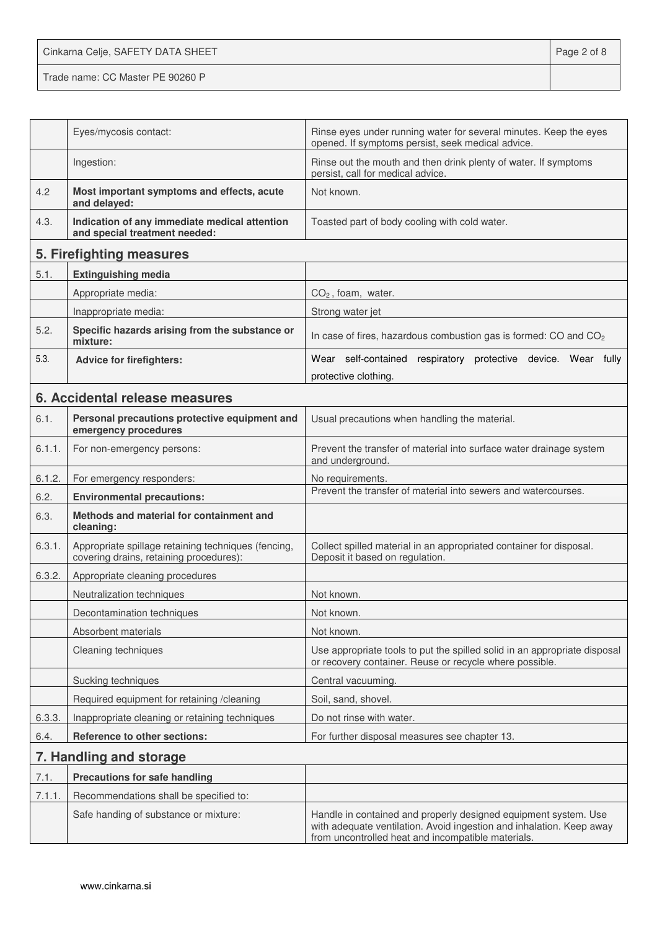Cinkarna Celje, SAFETY DATA SHEET **Page 2 of 8** Trade name: CC Master PE 90260 P

|        | Eyes/mycosis contact:                                                                          | Rinse eyes under running water for several minutes. Keep the eyes<br>opened. If symptoms persist, seek medical advice.                                                                        |
|--------|------------------------------------------------------------------------------------------------|-----------------------------------------------------------------------------------------------------------------------------------------------------------------------------------------------|
|        | Ingestion:                                                                                     | Rinse out the mouth and then drink plenty of water. If symptoms<br>persist, call for medical advice.                                                                                          |
| 4.2    | Most important symptoms and effects, acute<br>and delayed:                                     | Not known.                                                                                                                                                                                    |
| 4.3.   | Indication of any immediate medical attention<br>and special treatment needed:                 | Toasted part of body cooling with cold water.                                                                                                                                                 |
|        | 5. Firefighting measures                                                                       |                                                                                                                                                                                               |
| 5.1.   | <b>Extinguishing media</b>                                                                     |                                                                                                                                                                                               |
|        | Appropriate media:                                                                             | $CO2$ , foam, water.                                                                                                                                                                          |
|        | Inappropriate media:                                                                           | Strong water jet                                                                                                                                                                              |
| 5.2.   | Specific hazards arising from the substance or<br>mixture:                                     | In case of fires, hazardous combustion gas is formed: CO and CO <sub>2</sub>                                                                                                                  |
| 5.3.   | <b>Advice for firefighters:</b>                                                                | Wear self-contained respiratory protective device. Wear fully                                                                                                                                 |
|        |                                                                                                | protective clothing.                                                                                                                                                                          |
|        | 6. Accidental release measures                                                                 |                                                                                                                                                                                               |
| 6.1.   | Personal precautions protective equipment and<br>emergency procedures                          | Usual precautions when handling the material.                                                                                                                                                 |
| 6.1.1. | For non-emergency persons:                                                                     | Prevent the transfer of material into surface water drainage system<br>and underground.                                                                                                       |
| 6.1.2. | For emergency responders:                                                                      | No requirements.                                                                                                                                                                              |
| 6.2.   | <b>Environmental precautions:</b>                                                              | Prevent the transfer of material into sewers and watercourses.                                                                                                                                |
| 6.3.   | Methods and material for containment and<br>cleaning:                                          |                                                                                                                                                                                               |
| 6.3.1. | Appropriate spillage retaining techniques (fencing,<br>covering drains, retaining procedures): | Collect spilled material in an appropriated container for disposal.<br>Deposit it based on regulation.                                                                                        |
| 6.3.2. | Appropriate cleaning procedures                                                                |                                                                                                                                                                                               |
|        | Neutralization techniques                                                                      | Not known.                                                                                                                                                                                    |
|        | Decontamination techniques                                                                     | Not known.                                                                                                                                                                                    |
|        | Absorbent materials                                                                            | Not known.                                                                                                                                                                                    |
|        | Cleaning techniques                                                                            | Use appropriate tools to put the spilled solid in an appropriate disposal<br>or recovery container. Reuse or recycle where possible.                                                          |
|        | Sucking techniques                                                                             | Central vacuuming.                                                                                                                                                                            |
|        | Required equipment for retaining / cleaning                                                    | Soil, sand, shovel.                                                                                                                                                                           |
| 6.3.3. | Inappropriate cleaning or retaining techniques                                                 | Do not rinse with water.                                                                                                                                                                      |
| 6.4.   | Reference to other sections:                                                                   | For further disposal measures see chapter 13.                                                                                                                                                 |
|        | 7. Handling and storage                                                                        |                                                                                                                                                                                               |
| 7.1.   | <b>Precautions for safe handling</b>                                                           |                                                                                                                                                                                               |
| 7.1.1  | Recommendations shall be specified to:                                                         |                                                                                                                                                                                               |
|        | Safe handing of substance or mixture:                                                          | Handle in contained and properly designed equipment system. Use<br>with adequate ventilation. Avoid ingestion and inhalation. Keep away<br>from uncontrolled heat and incompatible materials. |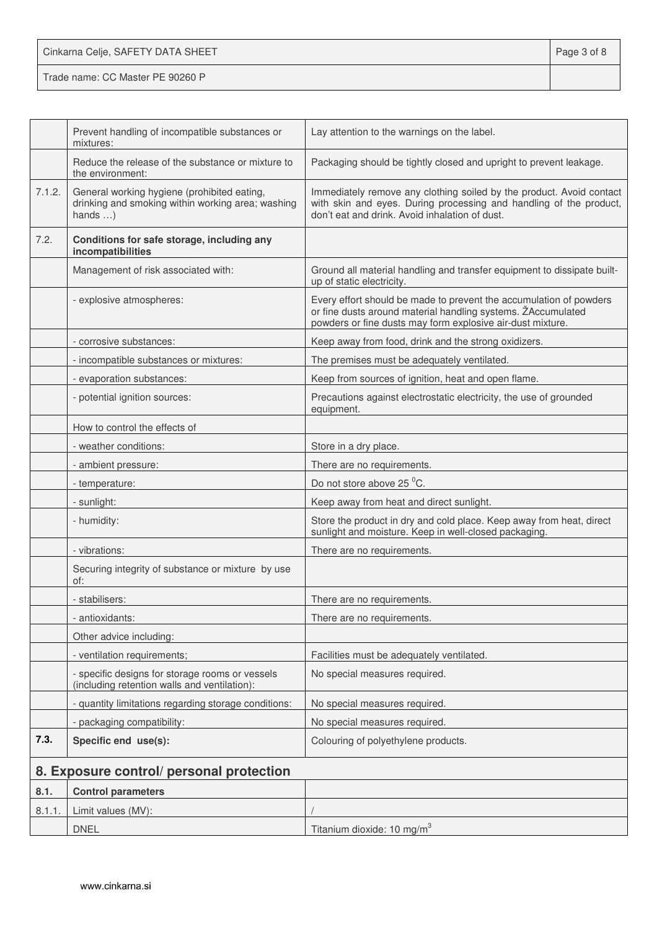| Cinkarna Celje, SAFETY DATA SHEET | Page 3 of 8 |
|-----------------------------------|-------------|
| Trade name: CC Master PE 90260 P  |             |

|        | Prevent handling of incompatible substances or<br>mixtures:                                                          | Lay attention to the warnings on the label.                                                                                                                                                      |
|--------|----------------------------------------------------------------------------------------------------------------------|--------------------------------------------------------------------------------------------------------------------------------------------------------------------------------------------------|
|        | Reduce the release of the substance or mixture to<br>the environment:                                                | Packaging should be tightly closed and upright to prevent leakage.                                                                                                                               |
| 7.1.2. | General working hygiene (prohibited eating,<br>drinking and smoking within working area; washing<br>hands $\ldots$ ) | Immediately remove any clothing soiled by the product. Avoid contact<br>with skin and eyes. During processing and handling of the product,<br>don't eat and drink. Avoid inhalation of dust.     |
| 7.2.   | Conditions for safe storage, including any<br>incompatibilities                                                      |                                                                                                                                                                                                  |
|        | Management of risk associated with:                                                                                  | Ground all material handling and transfer equipment to dissipate built-<br>up of static electricity.                                                                                             |
|        | - explosive atmospheres:                                                                                             | Every effort should be made to prevent the accumulation of powders<br>or fine dusts around material handling systems. ŽAccumulated<br>powders or fine dusts may form explosive air-dust mixture. |
|        | - corrosive substances:                                                                                              | Keep away from food, drink and the strong oxidizers.                                                                                                                                             |
|        | - incompatible substances or mixtures:                                                                               | The premises must be adequately ventilated.                                                                                                                                                      |
|        | - evaporation substances:                                                                                            | Keep from sources of ignition, heat and open flame.                                                                                                                                              |
|        | - potential ignition sources:                                                                                        | Precautions against electrostatic electricity, the use of grounded<br>equipment.                                                                                                                 |
|        | How to control the effects of                                                                                        |                                                                                                                                                                                                  |
|        | - weather conditions:                                                                                                | Store in a dry place.                                                                                                                                                                            |
|        | - ambient pressure:                                                                                                  | There are no requirements.                                                                                                                                                                       |
|        | - temperature:                                                                                                       | Do not store above 25 °C.                                                                                                                                                                        |
|        | - sunlight:                                                                                                          | Keep away from heat and direct sunlight.                                                                                                                                                         |
|        | - humidity:                                                                                                          | Store the product in dry and cold place. Keep away from heat, direct<br>sunlight and moisture. Keep in well-closed packaging.                                                                    |
|        | - vibrations:                                                                                                        | There are no requirements.                                                                                                                                                                       |
|        | Securing integrity of substance or mixture by use<br>of:                                                             |                                                                                                                                                                                                  |
|        | - stabilisers:                                                                                                       | There are no requirements.                                                                                                                                                                       |
|        | - antioxidants:                                                                                                      | There are no requirements.                                                                                                                                                                       |
|        | Other advice including:                                                                                              |                                                                                                                                                                                                  |
|        | - ventilation requirements;                                                                                          | Facilities must be adequately ventilated.                                                                                                                                                        |
|        | - specific designs for storage rooms or vessels<br>(including retention walls and ventilation):                      | No special measures required.                                                                                                                                                                    |
|        | - quantity limitations regarding storage conditions:                                                                 | No special measures required.                                                                                                                                                                    |
|        | - packaging compatibility:                                                                                           | No special measures required.                                                                                                                                                                    |
| 7.3.   | Specific end use(s):                                                                                                 | Colouring of polyethylene products.                                                                                                                                                              |
|        | 8. Exposure control/ personal protection                                                                             |                                                                                                                                                                                                  |
| 8.1.   | <b>Control parameters</b>                                                                                            |                                                                                                                                                                                                  |
| 8.1.1  | Limit values (MV):                                                                                                   |                                                                                                                                                                                                  |
|        | <b>DNEL</b>                                                                                                          | Titanium dioxide: 10 mg/m <sup>3</sup>                                                                                                                                                           |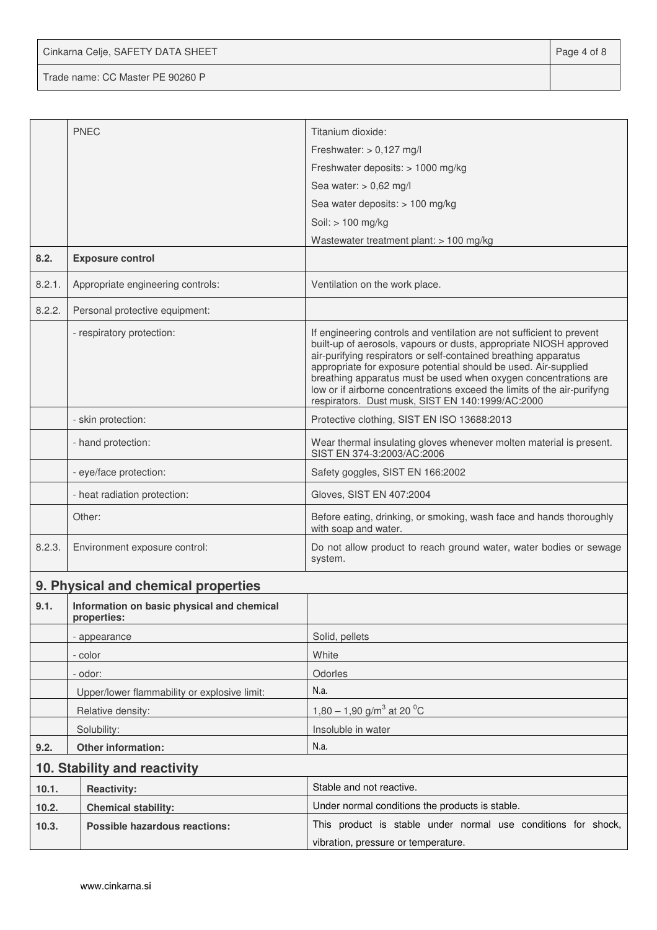Cinkarna Celje, SAFETY DATA SHEET **Page 4 of 8** 

Trade name: CC Master PE 90260 P

|        |                                                           | Titanium dioxide:                                                                                                                                                                                                                                                                                                                                                                                                                                                                   |  |  |
|--------|-----------------------------------------------------------|-------------------------------------------------------------------------------------------------------------------------------------------------------------------------------------------------------------------------------------------------------------------------------------------------------------------------------------------------------------------------------------------------------------------------------------------------------------------------------------|--|--|
|        | <b>PNEC</b>                                               | Freshwater: $> 0,127$ mg/l                                                                                                                                                                                                                                                                                                                                                                                                                                                          |  |  |
|        |                                                           |                                                                                                                                                                                                                                                                                                                                                                                                                                                                                     |  |  |
|        |                                                           | Freshwater deposits: > 1000 mg/kg                                                                                                                                                                                                                                                                                                                                                                                                                                                   |  |  |
|        |                                                           | Sea water: $> 0.62$ mg/l                                                                                                                                                                                                                                                                                                                                                                                                                                                            |  |  |
|        |                                                           | Sea water deposits: > 100 mg/kg                                                                                                                                                                                                                                                                                                                                                                                                                                                     |  |  |
|        |                                                           | Soil: > 100 mg/kg<br>Wastewater treatment plant: > 100 mg/kg                                                                                                                                                                                                                                                                                                                                                                                                                        |  |  |
| 8.2.   | <b>Exposure control</b>                                   |                                                                                                                                                                                                                                                                                                                                                                                                                                                                                     |  |  |
| 8.2.1. | Appropriate engineering controls:                         | Ventilation on the work place.                                                                                                                                                                                                                                                                                                                                                                                                                                                      |  |  |
| 8.2.2. | Personal protective equipment:                            |                                                                                                                                                                                                                                                                                                                                                                                                                                                                                     |  |  |
|        | - respiratory protection:                                 | If engineering controls and ventilation are not sufficient to prevent<br>built-up of aerosols, vapours or dusts, appropriate NIOSH approved<br>air-purifying respirators or self-contained breathing apparatus<br>appropriate for exposure potential should be used. Air-supplied<br>breathing apparatus must be used when oxygen concentrations are<br>low or if airborne concentrations exceed the limits of the air-purifyng<br>respirators. Dust musk, SIST EN 140:1999/AC:2000 |  |  |
|        | - skin protection:                                        | Protective clothing, SIST EN ISO 13688:2013                                                                                                                                                                                                                                                                                                                                                                                                                                         |  |  |
|        | - hand protection:                                        | Wear thermal insulating gloves whenever molten material is present.<br>SIST EN 374-3:2003/AC:2006                                                                                                                                                                                                                                                                                                                                                                                   |  |  |
|        | - eye/face protection:                                    | Safety goggles, SIST EN 166:2002                                                                                                                                                                                                                                                                                                                                                                                                                                                    |  |  |
|        | - heat radiation protection:                              | Gloves, SIST EN 407:2004                                                                                                                                                                                                                                                                                                                                                                                                                                                            |  |  |
|        | Other:                                                    | Before eating, drinking, or smoking, wash face and hands thoroughly<br>with soap and water.                                                                                                                                                                                                                                                                                                                                                                                         |  |  |
| 8.2.3. | Environment exposure control:                             | Do not allow product to reach ground water, water bodies or sewage<br>system.                                                                                                                                                                                                                                                                                                                                                                                                       |  |  |
|        | 9. Physical and chemical properties                       |                                                                                                                                                                                                                                                                                                                                                                                                                                                                                     |  |  |
| 9.1.   | Information on basic physical and chemical<br>properties: |                                                                                                                                                                                                                                                                                                                                                                                                                                                                                     |  |  |
|        | - appearance                                              | Solid, pellets                                                                                                                                                                                                                                                                                                                                                                                                                                                                      |  |  |
|        | - color                                                   | White                                                                                                                                                                                                                                                                                                                                                                                                                                                                               |  |  |
|        | - odor:                                                   | Odorles                                                                                                                                                                                                                                                                                                                                                                                                                                                                             |  |  |
|        | Upper/lower flammability or explosive limit:              | N.a.                                                                                                                                                                                                                                                                                                                                                                                                                                                                                |  |  |
|        | Relative density:                                         | 1,80 – 1,90 g/m <sup>3</sup> at 20 <sup>o</sup> C                                                                                                                                                                                                                                                                                                                                                                                                                                   |  |  |
|        | Solubility:                                               | Insoluble in water                                                                                                                                                                                                                                                                                                                                                                                                                                                                  |  |  |
| 9.2.   | Other information:                                        | N.a.                                                                                                                                                                                                                                                                                                                                                                                                                                                                                |  |  |
|        | 10. Stability and reactivity                              |                                                                                                                                                                                                                                                                                                                                                                                                                                                                                     |  |  |
| 10.1.  | <b>Reactivity:</b>                                        | Stable and not reactive.                                                                                                                                                                                                                                                                                                                                                                                                                                                            |  |  |
| 10.2.  | <b>Chemical stability:</b>                                | Under normal conditions the products is stable.                                                                                                                                                                                                                                                                                                                                                                                                                                     |  |  |
| 10.3.  | <b>Possible hazardous reactions:</b>                      | This product is stable under normal use conditions for shock,                                                                                                                                                                                                                                                                                                                                                                                                                       |  |  |
|        |                                                           | vibration, pressure or temperature.                                                                                                                                                                                                                                                                                                                                                                                                                                                 |  |  |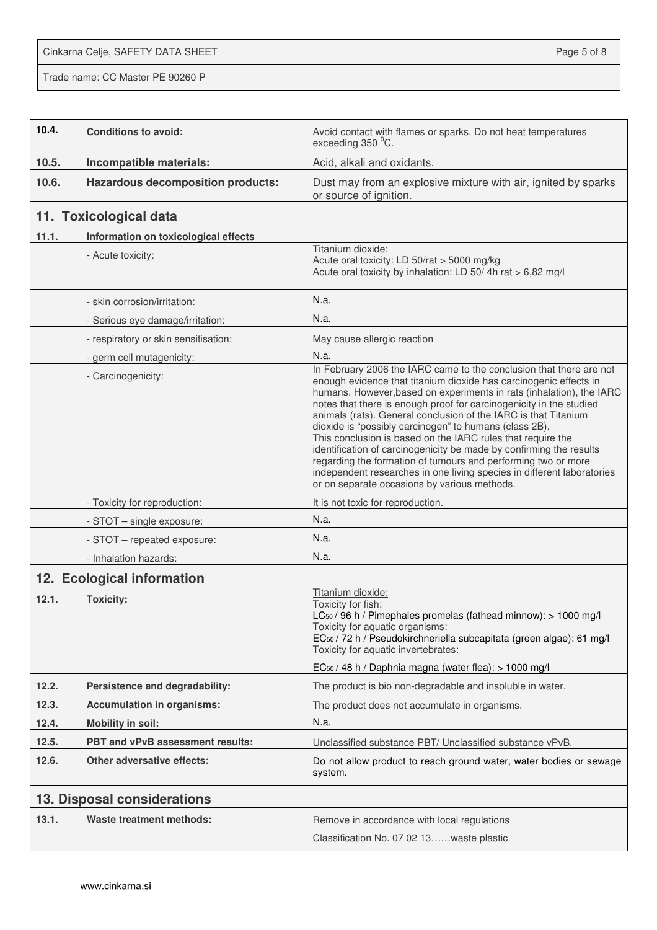Cinkarna Celje, SAFETY DATA SHEET **Page 5 of 8** 

Trade name: CC Master PE 90260 P

| 10.4. | <b>Conditions to avoid:</b>              | Avoid contact with flames or sparks. Do not heat temperatures<br>exceeding 350 °C.                                                                                                                                                                                                                                                                                                                                                                                                                                                                                                                                                                                                                                                                    |  |  |
|-------|------------------------------------------|-------------------------------------------------------------------------------------------------------------------------------------------------------------------------------------------------------------------------------------------------------------------------------------------------------------------------------------------------------------------------------------------------------------------------------------------------------------------------------------------------------------------------------------------------------------------------------------------------------------------------------------------------------------------------------------------------------------------------------------------------------|--|--|
| 10.5. | Incompatible materials:                  | Acid, alkali and oxidants.                                                                                                                                                                                                                                                                                                                                                                                                                                                                                                                                                                                                                                                                                                                            |  |  |
| 10.6. | <b>Hazardous decomposition products:</b> | Dust may from an explosive mixture with air, ignited by sparks<br>or source of ignition.                                                                                                                                                                                                                                                                                                                                                                                                                                                                                                                                                                                                                                                              |  |  |
|       | 11. Toxicological data                   |                                                                                                                                                                                                                                                                                                                                                                                                                                                                                                                                                                                                                                                                                                                                                       |  |  |
| 11.1. | Information on toxicological effects     |                                                                                                                                                                                                                                                                                                                                                                                                                                                                                                                                                                                                                                                                                                                                                       |  |  |
|       | - Acute toxicity:                        | Titanium dioxide:<br>Acute oral toxicity: LD 50/rat > 5000 mg/kg<br>Acute oral toxicity by inhalation: LD 50/4h rat > 6,82 mg/l                                                                                                                                                                                                                                                                                                                                                                                                                                                                                                                                                                                                                       |  |  |
|       | - skin corrosion/irritation:             | N.a.                                                                                                                                                                                                                                                                                                                                                                                                                                                                                                                                                                                                                                                                                                                                                  |  |  |
|       | - Serious eye damage/irritation:         | N.a.                                                                                                                                                                                                                                                                                                                                                                                                                                                                                                                                                                                                                                                                                                                                                  |  |  |
|       | - respiratory or skin sensitisation:     | May cause allergic reaction                                                                                                                                                                                                                                                                                                                                                                                                                                                                                                                                                                                                                                                                                                                           |  |  |
|       | - germ cell mutagenicity:                | N.a.                                                                                                                                                                                                                                                                                                                                                                                                                                                                                                                                                                                                                                                                                                                                                  |  |  |
|       | - Carcinogenicity:                       | In February 2006 the IARC came to the conclusion that there are not<br>enough evidence that titanium dioxide has carcinogenic effects in<br>humans. However, based on experiments in rats (inhalation), the IARC<br>notes that there is enough proof for carcinogenicity in the studied<br>animals (rats). General conclusion of the IARC is that Titanium<br>dioxide is "possibly carcinogen" to humans (class 2B).<br>This conclusion is based on the IARC rules that require the<br>identification of carcinogenicity be made by confirming the results<br>regarding the formation of tumours and performing two or more<br>independent researches in one living species in different laboratories<br>or on separate occasions by various methods. |  |  |
|       | - Toxicity for reproduction:             | It is not toxic for reproduction.                                                                                                                                                                                                                                                                                                                                                                                                                                                                                                                                                                                                                                                                                                                     |  |  |
|       | - STOT - single exposure:                | N.a.                                                                                                                                                                                                                                                                                                                                                                                                                                                                                                                                                                                                                                                                                                                                                  |  |  |
|       | - STOT - repeated exposure:              | N.a.                                                                                                                                                                                                                                                                                                                                                                                                                                                                                                                                                                                                                                                                                                                                                  |  |  |
|       | - Inhalation hazards:                    | N.a.                                                                                                                                                                                                                                                                                                                                                                                                                                                                                                                                                                                                                                                                                                                                                  |  |  |
|       | 12. Ecological information               |                                                                                                                                                                                                                                                                                                                                                                                                                                                                                                                                                                                                                                                                                                                                                       |  |  |
| 12.1. | <b>Toxicity:</b>                         | Titanium dioxide:<br>Toxicity for fish:<br>LC <sub>50</sub> / 96 h / Pimephales promelas (fathead minnow): > 1000 mg/l<br>Toxicity for aquatic organisms:<br>EC <sub>50</sub> / 72 h / Pseudokirchneriella subcapitata (green algae): 61 mg/l<br>Toxicity for aquatic invertebrates:<br>EC <sub>50</sub> / 48 h / Daphnia magna (water flea): > 1000 mg/l                                                                                                                                                                                                                                                                                                                                                                                             |  |  |
| 12.2. | Persistence and degradability:           | The product is bio non-degradable and insoluble in water.                                                                                                                                                                                                                                                                                                                                                                                                                                                                                                                                                                                                                                                                                             |  |  |
| 12.3. | <b>Accumulation in organisms:</b>        | The product does not accumulate in organisms.                                                                                                                                                                                                                                                                                                                                                                                                                                                                                                                                                                                                                                                                                                         |  |  |
| 12.4. | <b>Mobility in soil:</b>                 | N.a.                                                                                                                                                                                                                                                                                                                                                                                                                                                                                                                                                                                                                                                                                                                                                  |  |  |
| 12.5. | PBT and vPvB assessment results:         | Unclassified substance PBT/ Unclassified substance vPvB.                                                                                                                                                                                                                                                                                                                                                                                                                                                                                                                                                                                                                                                                                              |  |  |
| 12.6. | <b>Other adversative effects:</b>        | Do not allow product to reach ground water, water bodies or sewage<br>system.                                                                                                                                                                                                                                                                                                                                                                                                                                                                                                                                                                                                                                                                         |  |  |
|       | 13. Disposal considerations              |                                                                                                                                                                                                                                                                                                                                                                                                                                                                                                                                                                                                                                                                                                                                                       |  |  |
| 13.1. | Waste treatment methods:                 | Remove in accordance with local regulations<br>Classification No. 07 02 13waste plastic                                                                                                                                                                                                                                                                                                                                                                                                                                                                                                                                                                                                                                                               |  |  |
|       |                                          |                                                                                                                                                                                                                                                                                                                                                                                                                                                                                                                                                                                                                                                                                                                                                       |  |  |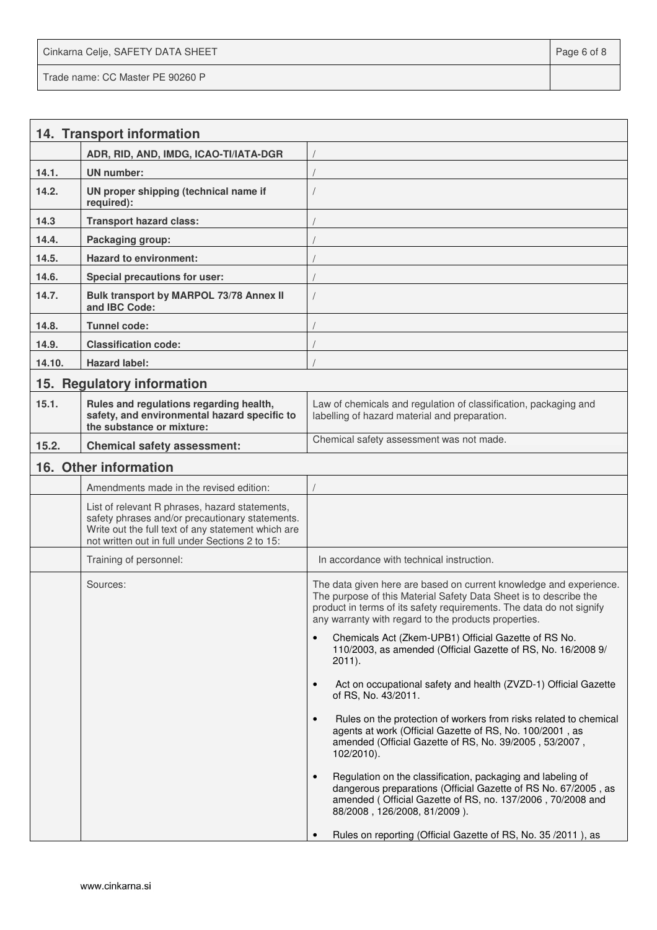Cinkarna Celje, SAFETY DATA SHEET **Page 6 of 8** and 2011 12 and 2012 12 and 2012 12 and 2012 12 and 2012 12 and 201 Trade name: CC Master PE 90260 P

|        | 14. Transport information                                                                                                                                                                                  |                                                                                                                                                                                                                                                                         |
|--------|------------------------------------------------------------------------------------------------------------------------------------------------------------------------------------------------------------|-------------------------------------------------------------------------------------------------------------------------------------------------------------------------------------------------------------------------------------------------------------------------|
|        | ADR, RID, AND, IMDG, ICAO-TI/IATA-DGR                                                                                                                                                                      |                                                                                                                                                                                                                                                                         |
| 14.1.  | UN number:                                                                                                                                                                                                 |                                                                                                                                                                                                                                                                         |
| 14.2.  | UN proper shipping (technical name if<br>required):                                                                                                                                                        |                                                                                                                                                                                                                                                                         |
| 14.3   | <b>Transport hazard class:</b>                                                                                                                                                                             |                                                                                                                                                                                                                                                                         |
| 14.4.  | Packaging group:                                                                                                                                                                                           |                                                                                                                                                                                                                                                                         |
| 14.5.  | <b>Hazard to environment:</b>                                                                                                                                                                              |                                                                                                                                                                                                                                                                         |
| 14.6.  | Special precautions for user:                                                                                                                                                                              |                                                                                                                                                                                                                                                                         |
| 14.7.  | Bulk transport by MARPOL 73/78 Annex II<br>and IBC Code:                                                                                                                                                   |                                                                                                                                                                                                                                                                         |
| 14.8.  | <b>Tunnel code:</b>                                                                                                                                                                                        |                                                                                                                                                                                                                                                                         |
| 14.9.  | <b>Classification code:</b>                                                                                                                                                                                |                                                                                                                                                                                                                                                                         |
| 14.10. | <b>Hazard label:</b>                                                                                                                                                                                       |                                                                                                                                                                                                                                                                         |
|        | 15. Regulatory information                                                                                                                                                                                 |                                                                                                                                                                                                                                                                         |
| 15.1.  | Rules and regulations regarding health,<br>safety, and environmental hazard specific to<br>the substance or mixture:                                                                                       | Law of chemicals and regulation of classification, packaging and<br>labelling of hazard material and preparation.                                                                                                                                                       |
| 15.2.  | <b>Chemical safety assessment:</b>                                                                                                                                                                         | Chemical safety assessment was not made.                                                                                                                                                                                                                                |
|        | 16. Other information                                                                                                                                                                                      |                                                                                                                                                                                                                                                                         |
|        | Amendments made in the revised edition:                                                                                                                                                                    |                                                                                                                                                                                                                                                                         |
|        | List of relevant R phrases, hazard statements,<br>safety phrases and/or precautionary statements.<br>Write out the full text of any statement which are<br>not written out in full under Sections 2 to 15: |                                                                                                                                                                                                                                                                         |
|        | Training of personnel:                                                                                                                                                                                     | In accordance with technical instruction.                                                                                                                                                                                                                               |
|        | Sources:                                                                                                                                                                                                   | The data given here are based on current knowledge and experience.<br>The purpose of this Material Safety Data Sheet is to describe the<br>product in terms of its safety requirements. The data do not signify<br>any warranty with regard to the products properties. |
|        |                                                                                                                                                                                                            | Chemicals Act (Zkem-UPB1) Official Gazette of RS No.<br>$\bullet$<br>110/2003, as amended (Official Gazette of RS, No. 16/2008 9/<br>$2011$ ).                                                                                                                          |
|        |                                                                                                                                                                                                            | Act on occupational safety and health (ZVZD-1) Official Gazette<br>$\bullet$<br>of RS, No. 43/2011.                                                                                                                                                                     |
|        |                                                                                                                                                                                                            | Rules on the protection of workers from risks related to chemical<br>$\bullet$<br>agents at work (Official Gazette of RS, No. 100/2001, as<br>amended (Official Gazette of RS, No. 39/2005, 53/2007,<br>$102/2010$ ).                                                   |
|        |                                                                                                                                                                                                            | Regulation on the classification, packaging and labeling of<br>$\bullet$<br>dangerous preparations (Official Gazette of RS No. 67/2005, as<br>amended (Official Gazette of RS, no. 137/2006, 70/2008 and<br>88/2008, 126/2008, 81/2009).                                |
|        |                                                                                                                                                                                                            | Rules on reporting (Official Gazette of RS, No. 35 / 2011), as                                                                                                                                                                                                          |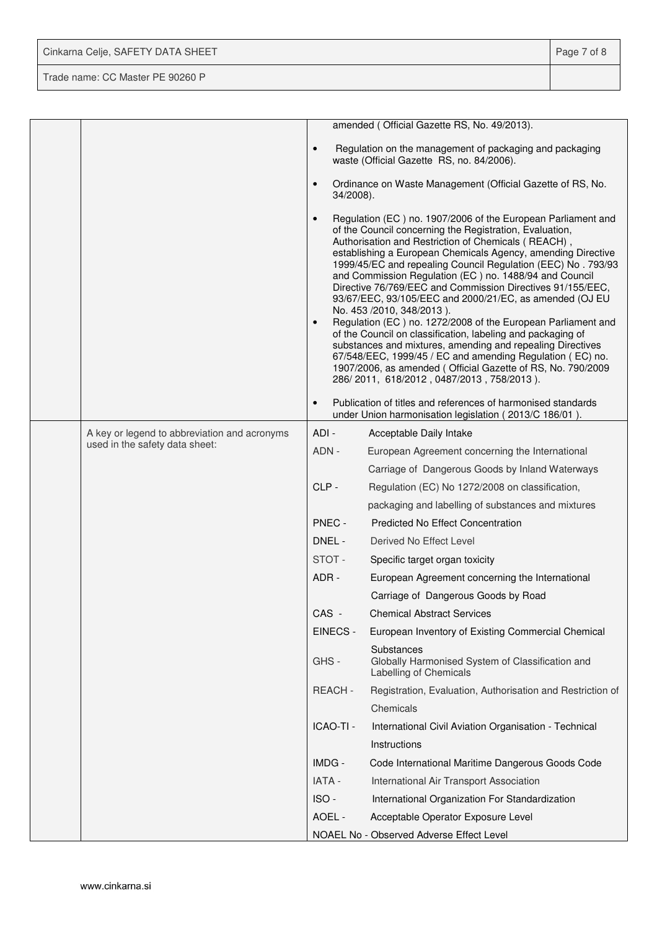| Cinkarna Celje, SAFETY DATA SHEET | Page 7 of 8 |
|-----------------------------------|-------------|
| Trade name: CC Master PE 90260 P  |             |

|  |                                                                                |                        | amended (Official Gazette RS, No. 49/2013).                                                                                                                                                                                                                                                                                                                                                                                                                                                                                                                                                                                                                                                                                                                                                                                                                                                          |
|--|--------------------------------------------------------------------------------|------------------------|------------------------------------------------------------------------------------------------------------------------------------------------------------------------------------------------------------------------------------------------------------------------------------------------------------------------------------------------------------------------------------------------------------------------------------------------------------------------------------------------------------------------------------------------------------------------------------------------------------------------------------------------------------------------------------------------------------------------------------------------------------------------------------------------------------------------------------------------------------------------------------------------------|
|  |                                                                                | $\bullet$              | Regulation on the management of packaging and packaging<br>waste (Official Gazette RS, no. 84/2006).                                                                                                                                                                                                                                                                                                                                                                                                                                                                                                                                                                                                                                                                                                                                                                                                 |
|  |                                                                                | $\bullet$<br>34/2008). | Ordinance on Waste Management (Official Gazette of RS, No.                                                                                                                                                                                                                                                                                                                                                                                                                                                                                                                                                                                                                                                                                                                                                                                                                                           |
|  |                                                                                | $\bullet$<br>$\bullet$ | Regulation (EC) no. 1907/2006 of the European Parliament and<br>of the Council concerning the Registration, Evaluation,<br>Authorisation and Restriction of Chemicals (REACH),<br>establishing a European Chemicals Agency, amending Directive<br>1999/45/EC and repealing Council Regulation (EEC) No. 793/93<br>and Commission Regulation (EC) no. 1488/94 and Council<br>Directive 76/769/EEC and Commission Directives 91/155/EEC,<br>93/67/EEC, 93/105/EEC and 2000/21/EC, as amended (OJ EU<br>No. 453 /2010, 348/2013).<br>Regulation (EC) no. 1272/2008 of the European Parliament and<br>of the Council on classification, labeling and packaging of<br>substances and mixtures, amending and repealing Directives<br>67/548/EEC, 1999/45 / EC and amending Regulation (EC) no.<br>1907/2006, as amended (Official Gazette of RS, No. 790/2009<br>286/2011, 618/2012, 0487/2013, 758/2013). |
|  |                                                                                | $\bullet$              | Publication of titles and references of harmonised standards<br>under Union harmonisation legislation (2013/C 186/01).                                                                                                                                                                                                                                                                                                                                                                                                                                                                                                                                                                                                                                                                                                                                                                               |
|  | A key or legend to abbreviation and acronyms<br>used in the safety data sheet: | ADI-                   | Acceptable Daily Intake                                                                                                                                                                                                                                                                                                                                                                                                                                                                                                                                                                                                                                                                                                                                                                                                                                                                              |
|  |                                                                                | ADN -                  | European Agreement concerning the International                                                                                                                                                                                                                                                                                                                                                                                                                                                                                                                                                                                                                                                                                                                                                                                                                                                      |
|  |                                                                                |                        | Carriage of Dangerous Goods by Inland Waterways                                                                                                                                                                                                                                                                                                                                                                                                                                                                                                                                                                                                                                                                                                                                                                                                                                                      |
|  |                                                                                | CLP-                   | Regulation (EC) No 1272/2008 on classification,                                                                                                                                                                                                                                                                                                                                                                                                                                                                                                                                                                                                                                                                                                                                                                                                                                                      |
|  |                                                                                |                        | packaging and labelling of substances and mixtures                                                                                                                                                                                                                                                                                                                                                                                                                                                                                                                                                                                                                                                                                                                                                                                                                                                   |
|  |                                                                                | PNEC -                 | <b>Predicted No Effect Concentration</b>                                                                                                                                                                                                                                                                                                                                                                                                                                                                                                                                                                                                                                                                                                                                                                                                                                                             |
|  |                                                                                | DNEL -                 | Derived No Effect Level                                                                                                                                                                                                                                                                                                                                                                                                                                                                                                                                                                                                                                                                                                                                                                                                                                                                              |
|  |                                                                                | STOT-                  | Specific target organ toxicity                                                                                                                                                                                                                                                                                                                                                                                                                                                                                                                                                                                                                                                                                                                                                                                                                                                                       |
|  |                                                                                | ADR-                   | European Agreement concerning the International                                                                                                                                                                                                                                                                                                                                                                                                                                                                                                                                                                                                                                                                                                                                                                                                                                                      |
|  |                                                                                |                        | Carriage of Dangerous Goods by Road                                                                                                                                                                                                                                                                                                                                                                                                                                                                                                                                                                                                                                                                                                                                                                                                                                                                  |
|  |                                                                                | CAS -                  | <b>Chemical Abstract Services</b>                                                                                                                                                                                                                                                                                                                                                                                                                                                                                                                                                                                                                                                                                                                                                                                                                                                                    |
|  |                                                                                | EINECS -               | European Inventory of Existing Commercial Chemical                                                                                                                                                                                                                                                                                                                                                                                                                                                                                                                                                                                                                                                                                                                                                                                                                                                   |
|  |                                                                                | GHS-                   | Substances<br>Globally Harmonised System of Classification and<br>Labelling of Chemicals                                                                                                                                                                                                                                                                                                                                                                                                                                                                                                                                                                                                                                                                                                                                                                                                             |
|  |                                                                                | REACH-                 | Registration, Evaluation, Authorisation and Restriction of                                                                                                                                                                                                                                                                                                                                                                                                                                                                                                                                                                                                                                                                                                                                                                                                                                           |
|  |                                                                                |                        | Chemicals                                                                                                                                                                                                                                                                                                                                                                                                                                                                                                                                                                                                                                                                                                                                                                                                                                                                                            |
|  |                                                                                | ICAO-TI -              | International Civil Aviation Organisation - Technical                                                                                                                                                                                                                                                                                                                                                                                                                                                                                                                                                                                                                                                                                                                                                                                                                                                |
|  |                                                                                |                        | Instructions                                                                                                                                                                                                                                                                                                                                                                                                                                                                                                                                                                                                                                                                                                                                                                                                                                                                                         |
|  |                                                                                | IMDG -                 | Code International Maritime Dangerous Goods Code                                                                                                                                                                                                                                                                                                                                                                                                                                                                                                                                                                                                                                                                                                                                                                                                                                                     |
|  |                                                                                | IATA -                 | International Air Transport Association                                                                                                                                                                                                                                                                                                                                                                                                                                                                                                                                                                                                                                                                                                                                                                                                                                                              |
|  |                                                                                | ISO-                   | International Organization For Standardization                                                                                                                                                                                                                                                                                                                                                                                                                                                                                                                                                                                                                                                                                                                                                                                                                                                       |
|  |                                                                                | AOEL -                 | Acceptable Operator Exposure Level                                                                                                                                                                                                                                                                                                                                                                                                                                                                                                                                                                                                                                                                                                                                                                                                                                                                   |
|  |                                                                                |                        | NOAEL No - Observed Adverse Effect Level                                                                                                                                                                                                                                                                                                                                                                                                                                                                                                                                                                                                                                                                                                                                                                                                                                                             |